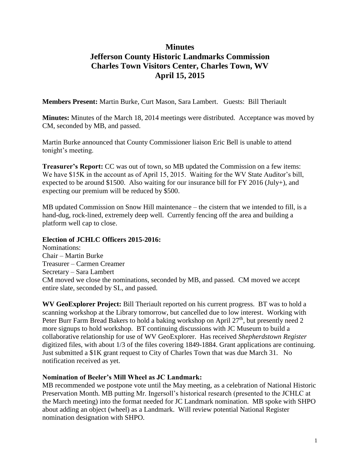# **Minutes Jefferson County Historic Landmarks Commission Charles Town Visitors Center, Charles Town, WV April 15, 2015**

**Members Present:** Martin Burke, Curt Mason, Sara Lambert. Guests: Bill Theriault

**Minutes:** Minutes of the March 18, 2014 meetings were distributed. Acceptance was moved by CM, seconded by MB, and passed.

Martin Burke announced that County Commissioner liaison Eric Bell is unable to attend tonight's meeting.

**Treasurer's Report:** CC was out of town, so MB updated the Commission on a few items: We have \$15K in the account as of April 15, 2015. Waiting for the WV State Auditor's bill, expected to be around \$1500. Also waiting for our insurance bill for FY 2016 (July+), and expecting our premium will be reduced by \$500.

MB updated Commission on Snow Hill maintenance – the cistern that we intended to fill, is a hand-dug, rock-lined, extremely deep well. Currently fencing off the area and building a platform well cap to close.

## **Election of JCHLC Officers 2015-2016:**

Nominations: Chair – Martin Burke Treasurer – Carmen Creamer Secretary – Sara Lambert CM moved we close the nominations, seconded by MB, and passed. CM moved we accept entire slate, seconded by SL, and passed.

**WV GeoExplorer Project:** Bill Theriault reported on his current progress. BT was to hold a scanning workshop at the Library tomorrow, but cancelled due to low interest. Working with Peter Burr Farm Bread Bakers to hold a baking workshop on April  $27<sup>th</sup>$ , but presently need 2 more signups to hold workshop. BT continuing discussions with JC Museum to build a collaborative relationship for use of WV GeoExplorer. Has received *Shepherdstown Register* digitized files, with about 1/3 of the files covering 1849-1884. Grant applications are continuing. Just submitted a \$1K grant request to City of Charles Town that was due March 31. No notification received as yet.

## **Nomination of Beeler's Mill Wheel as JC Landmark:**

MB recommended we postpone vote until the May meeting, as a celebration of National Historic Preservation Month. MB putting Mr. Ingersoll's historical research (presented to the JCHLC at the March meeting) into the format needed for JC Landmark nomination. MB spoke with SHPO about adding an object (wheel) as a Landmark. Will review potential National Register nomination designation with SHPO.